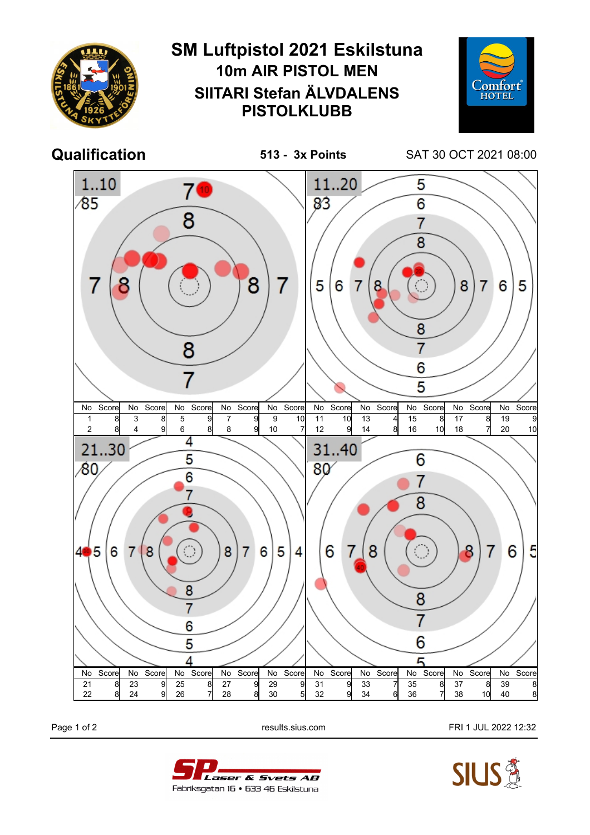

Page 1 of 2 **Page 1 of 2** results.sius.com **FRI 1 JUL 2022 12:32**